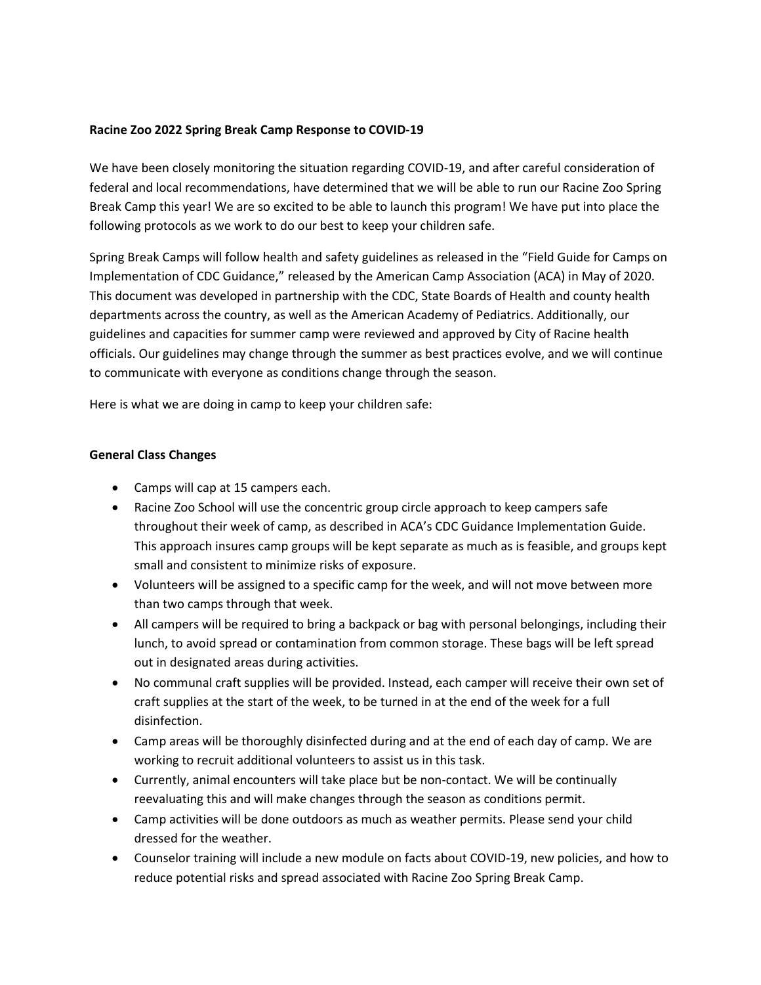### **Racine Zoo 2022 Spring Break Camp Response to COVID-19**

We have been closely monitoring the situation regarding COVID-19, and after careful consideration of federal and local recommendations, have determined that we will be able to run our Racine Zoo Spring Break Camp this year! We are so excited to be able to launch this program! We have put into place the following protocols as we work to do our best to keep your children safe.

Spring Break Camps will follow health and safety guidelines as released in the "Field Guide for Camps on Implementation of CDC Guidance," released by the American Camp Association (ACA) in May of 2020. This document was developed in partnership with the CDC, State Boards of Health and county health departments across the country, as well as the American Academy of Pediatrics. Additionally, our guidelines and capacities for summer camp were reviewed and approved by City of Racine health officials. Our guidelines may change through the summer as best practices evolve, and we will continue to communicate with everyone as conditions change through the season.

Here is what we are doing in camp to keep your children safe:

# **General Class Changes**

- Camps will cap at 15 campers each.
- Racine Zoo School will use the concentric group circle approach to keep campers safe throughout their week of camp, as described in ACA's CDC Guidance Implementation Guide. This approach insures camp groups will be kept separate as much as is feasible, and groups kept small and consistent to minimize risks of exposure.
- Volunteers will be assigned to a specific camp for the week, and will not move between more than two camps through that week.
- All campers will be required to bring a backpack or bag with personal belongings, including their lunch, to avoid spread or contamination from common storage. These bags will be left spread out in designated areas during activities.
- No communal craft supplies will be provided. Instead, each camper will receive their own set of craft supplies at the start of the week, to be turned in at the end of the week for a full disinfection.
- Camp areas will be thoroughly disinfected during and at the end of each day of camp. We are working to recruit additional volunteers to assist us in this task.
- Currently, animal encounters will take place but be non-contact. We will be continually reevaluating this and will make changes through the season as conditions permit.
- Camp activities will be done outdoors as much as weather permits. Please send your child dressed for the weather.
- Counselor training will include a new module on facts about COVID-19, new policies, and how to reduce potential risks and spread associated with Racine Zoo Spring Break Camp.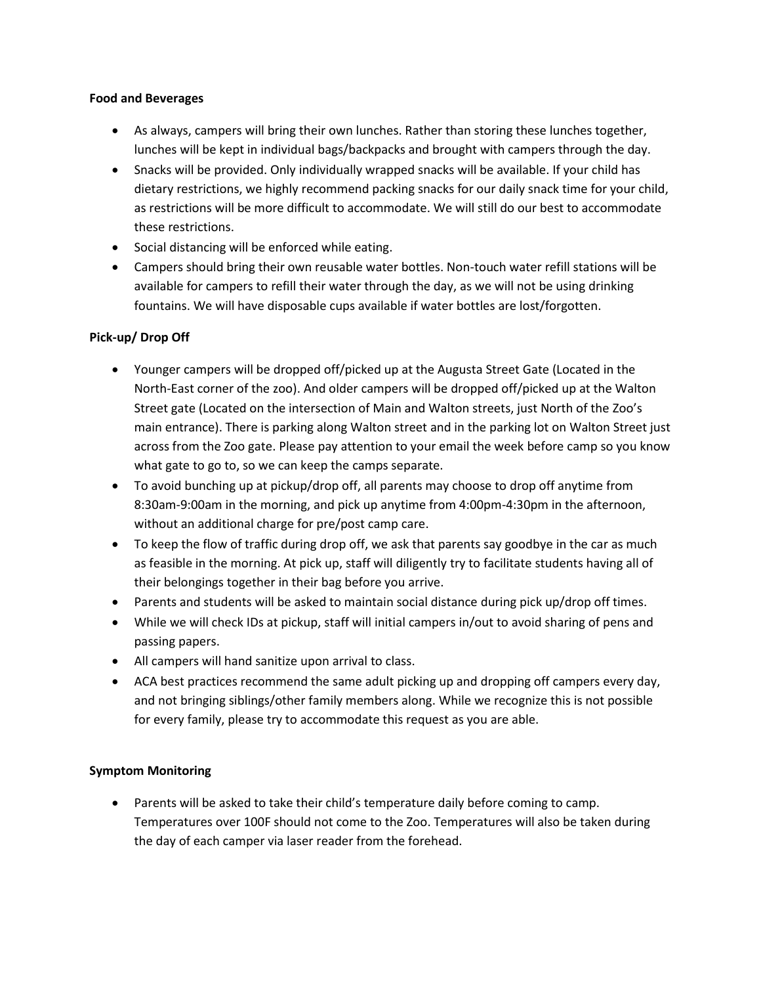#### **Food and Beverages**

- As always, campers will bring their own lunches. Rather than storing these lunches together, lunches will be kept in individual bags/backpacks and brought with campers through the day.
- Snacks will be provided. Only individually wrapped snacks will be available. If your child has dietary restrictions, we highly recommend packing snacks for our daily snack time for your child, as restrictions will be more difficult to accommodate. We will still do our best to accommodate these restrictions.
- Social distancing will be enforced while eating.
- Campers should bring their own reusable water bottles. Non-touch water refill stations will be available for campers to refill their water through the day, as we will not be using drinking fountains. We will have disposable cups available if water bottles are lost/forgotten.

# **Pick-up/ Drop Off**

- Younger campers will be dropped off/picked up at the Augusta Street Gate (Located in the North-East corner of the zoo). And older campers will be dropped off/picked up at the Walton Street gate (Located on the intersection of Main and Walton streets, just North of the Zoo's main entrance). There is parking along Walton street and in the parking lot on Walton Street just across from the Zoo gate. Please pay attention to your email the week before camp so you know what gate to go to, so we can keep the camps separate.
- To avoid bunching up at pickup/drop off, all parents may choose to drop off anytime from 8:30am-9:00am in the morning, and pick up anytime from 4:00pm-4:30pm in the afternoon, without an additional charge for pre/post camp care.
- To keep the flow of traffic during drop off, we ask that parents say goodbye in the car as much as feasible in the morning. At pick up, staff will diligently try to facilitate students having all of their belongings together in their bag before you arrive.
- Parents and students will be asked to maintain social distance during pick up/drop off times.
- While we will check IDs at pickup, staff will initial campers in/out to avoid sharing of pens and passing papers.
- All campers will hand sanitize upon arrival to class.
- ACA best practices recommend the same adult picking up and dropping off campers every day, and not bringing siblings/other family members along. While we recognize this is not possible for every family, please try to accommodate this request as you are able.

# **Symptom Monitoring**

• Parents will be asked to take their child's temperature daily before coming to camp. Temperatures over 100F should not come to the Zoo. Temperatures will also be taken during the day of each camper via laser reader from the forehead.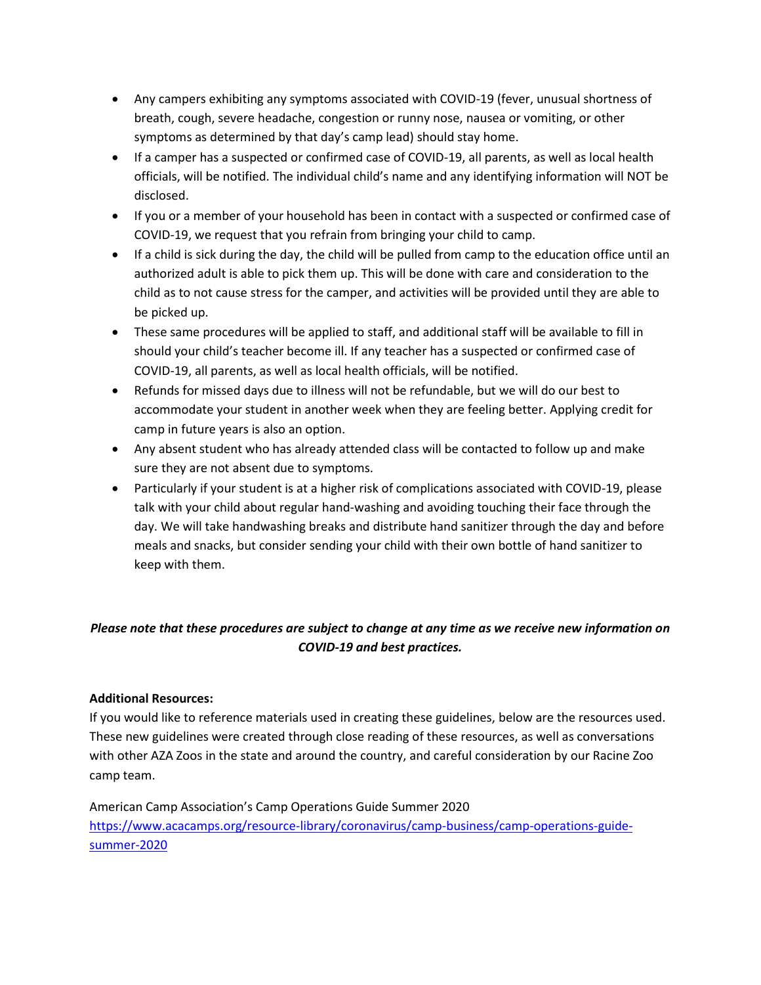- Any campers exhibiting any symptoms associated with COVID-19 (fever, unusual shortness of breath, cough, severe headache, congestion or runny nose, nausea or vomiting, or other symptoms as determined by that day's camp lead) should stay home.
- If a camper has a suspected or confirmed case of COVID-19, all parents, as well as local health officials, will be notified. The individual child's name and any identifying information will NOT be disclosed.
- If you or a member of your household has been in contact with a suspected or confirmed case of COVID-19, we request that you refrain from bringing your child to camp.
- If a child is sick during the day, the child will be pulled from camp to the education office until an authorized adult is able to pick them up. This will be done with care and consideration to the child as to not cause stress for the camper, and activities will be provided until they are able to be picked up.
- These same procedures will be applied to staff, and additional staff will be available to fill in should your child's teacher become ill. If any teacher has a suspected or confirmed case of COVID-19, all parents, as well as local health officials, will be notified.
- Refunds for missed days due to illness will not be refundable, but we will do our best to accommodate your student in another week when they are feeling better. Applying credit for camp in future years is also an option.
- Any absent student who has already attended class will be contacted to follow up and make sure they are not absent due to symptoms.
- Particularly if your student is at a higher risk of complications associated with COVID-19, please talk with your child about regular hand-washing and avoiding touching their face through the day. We will take handwashing breaks and distribute hand sanitizer through the day and before meals and snacks, but consider sending your child with their own bottle of hand sanitizer to keep with them.

# *Please note that these procedures are subject to change at any time as we receive new information on COVID-19 and best practices.*

# **Additional Resources:**

If you would like to reference materials used in creating these guidelines, below are the resources used. These new guidelines were created through close reading of these resources, as well as conversations with other AZA Zoos in the state and around the country, and careful consideration by our Racine Zoo camp team.

American Camp Association's Camp Operations Guide Summer 2020 [https://www.acacamps.org/resource-library/coronavirus/camp-business/camp-operations-guide](https://www.acacamps.org/resource-library/coronavirus/camp-business/camp-operations-guide-summer-2020)[summer-2020](https://www.acacamps.org/resource-library/coronavirus/camp-business/camp-operations-guide-summer-2020)